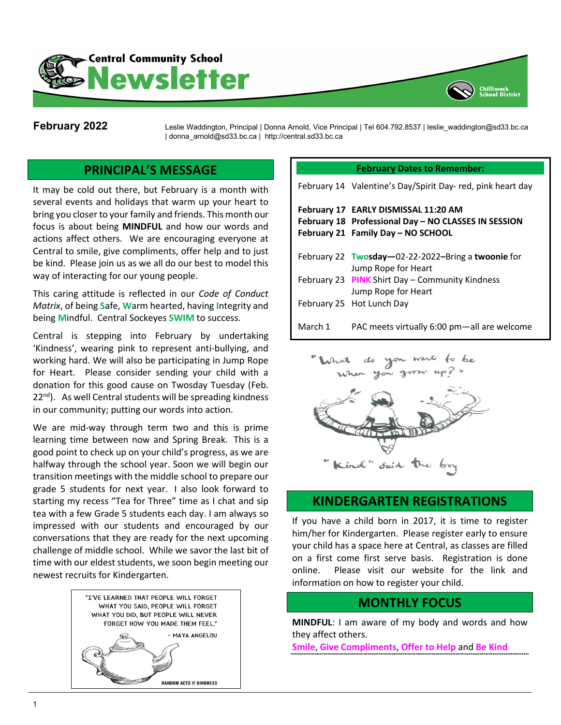



**February 2022** Leslie Waddington, Principal | Donna Arnold, Vice Principal | Tel 604.792.8537 | leslie\_waddington@sd33.bc.ca | donna\_arnold@sd33.bc.ca | http://central.sd33.bc.ca

# **PRINCIPAL'S MESSAGE**

It may be cold out there, but February is a month with several events and holidays that warm up your heart to bring you closer to your family and friends. This month our focus is about being **MINDFUL** and how our words and actions affect others. We are encouraging everyone at Central to smile, give compliments, offer help and to just be kind. Please join us as we all do our best to model this way of interacting for our young people.

This caring attitude is reflected in our *Code of Conduct Matrix*, of being **S**afe, **W**arm hearted, having **I**ntegrity and being **M**indful. Central Sockeyes **SWIM** to success.

Central is stepping into February by undertaking 'Kindness', wearing pink to represent anti-bullying, and working hard. We will also be participating in Jump Rope for Heart. Please consider sending your child with a donation for this good cause on Twosday Tuesday (Feb.  $22<sup>nd</sup>$ . As well Central students will be spreading kindness in our community; putting our words into action.

We are mid-way through term two and this is prime learning time between now and Spring Break. This is a good point to check up on your child's progress, as we are halfway through the school year. Soon we will begin our transition meetings with the middle school to prepare our grade 5 students for next year. I also look forward to starting my recess "Tea for Three" time as I chat and sip tea with a few Grade 5 students each day. I am always so impressed with our students and encouraged by our conversations that they are ready for the next upcoming challenge of middle school. While we savor the last bit of time with our eldest students, we soon begin meeting our newest recruits for Kindergarten.



#### **February Dates to Remember:**

|         | February 14 Valentine's Day/Spirit Day-red, pink heart day                                                                         |
|---------|------------------------------------------------------------------------------------------------------------------------------------|
|         | February 17 EARLY DISMISSAL 11:20 AM<br>February 18 Professional Day - NO CLASSES IN SESSION<br>February 21 Family Day - NO SCHOOL |
|         | February 22 Twosday-02-22-2022-Bring a twoonie for<br>Jump Rope for Heart                                                          |
|         | February 23 PINK Shirt Day - Community Kindness<br>Jump Rope for Heart                                                             |
|         | February 25 Hot Lunch Day                                                                                                          |
| March 1 | PAC meets virtually 6:00 pm-all are welcome                                                                                        |



### **KINDERGARTEN REGISTRATIONS**

If you have a child born in 2017, it is time to register him/her for Kindergarten. Please register early to ensure your child has a space here at Central, as classes are filled on a first come first serve basis. Registration is done online. Please visit our website for the link and information on how to register your child.

#### **MONTHLY FOCUS**

**MINDFUL**: I am aware of my body and words and how they affect others.

**Smile**, **Give Compliments**, **Offer to Help** and **Be Kind**